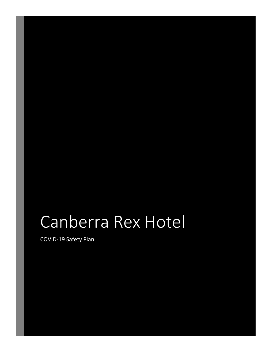# Canberra Rex Hotel

COVID-19 Safety Plan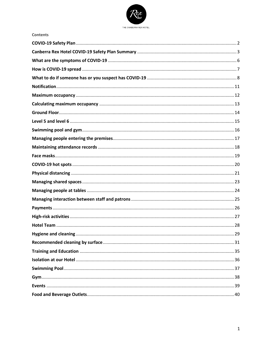

**Contents**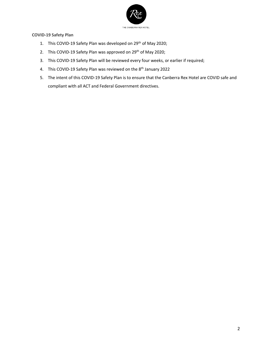

<span id="page-2-0"></span>**COVID-19 Safety Plan**

- 1. This COVID-19 Safety Plan was developed on 29<sup>th</sup> of May 2020;
- 2. This COVID-19 Safety Plan was approved on 29<sup>th</sup> of May 2020;
- 3. This COVID-19 Safety Plan will be reviewed every four weeks, or earlier if required;
- 4. This COVID-19 Safety Plan was reviewed on the 8<sup>th</sup> January 2022
- 5. The intent of this COVID-19 Safety Plan is to ensure that the Canberra Rex Hotel are COVID safe and compliant with all ACT and Federal Government directives.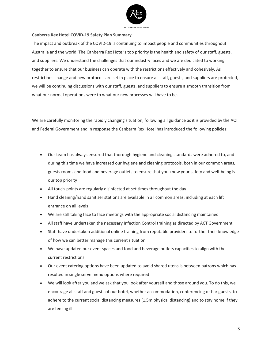

#### <span id="page-3-0"></span>**Canberra Rex Hotel COVID-19 Safety Plan Summary**

The impact and outbreak of the COVID-19 is continuing to impact people and communities throughout Australia and the world. The Canberra Rex Hotel's top priority is the health and safety of our staff, guests, and suppliers. We understand the challenges that our industry faces and we are dedicated to working together to ensure that our business can operate with the restrictions effectively and cohesively. As restrictions change and new protocols are set in place to ensure all staff, guests, and suppliers are protected, we will be continuing discussions with our staff, guests, and suppliers to ensure a smooth transition from what our normal operations were to what our new processes will have to be.

We are carefully monitoring the rapidly changing situation, following all guidance as it is provided by the ACT and Federal Government and in response the Canberra Rex Hotel has introduced the following policies:

- Our team has always ensured that thorough hygiene and cleaning standards were adhered to, and during this time we have increased our hygiene and cleaning protocols, both in our common areas, guests rooms and food and beverage outlets to ensure that you know your safety and well-being is our top priority
- All touch-points are regularly disinfected at set times throughout the day
- Hand cleaning/hand sanitiser stations are available in all common areas, including at each lift entrance on all levels
- We are still taking face to face meetings with the appropriate social distancing maintained
- All staff have undertaken the necessary Infection Control training as directed by ACT Government
- Staff have undertaken additional online training from reputable providers to further their knowledge of how we can better manage this current situation
- We have updated our event spaces and food and beverage outlets capacities to align with the current restrictions
- Our event catering options have been updated to avoid shared utensils between patrons which has resulted in single serve menu options where required
- We will look after you and we ask that you look after yourself and those around you. To do this, we encourage all staff and guests of our hotel, whether accommodation, conferencing or bar guests, to adhere to the current social distancing measures (1.5m physical distancing) and to stay home if they are feeling ill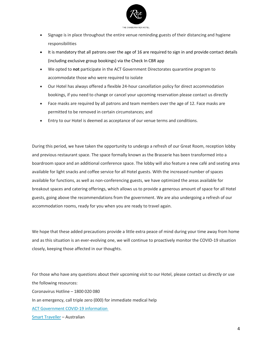

- Signage is in place throughout the entire venue reminding guests of their distancing and hygiene responsibilities
- It is mandatory that all patrons over the age of 16 are required to sign in and provide contact details (including exclusive group bookings) via the Check In CBR app
- We opted to **not** participate in the ACT Government Directorates quarantine program to accommodate those who were required to isolate
- Our Hotel has always offered a flexible 24-hour cancellation policy for direct accommodation bookings, if you need to change or cancel your upcoming reservation please contact us directly
- Face masks are required by all patrons and team members over the age of 12. Face masks are permitted to be removed in certain circumstances; and
- Entry to our Hotel is deemed as acceptance of our venue terms and conditions.

During this period, we have taken the opportunity to undergo a refresh of our Great Room, reception lobby and previous restaurant space. The space formally known as the Brasserie has been transformed into a boardroom space and an additional conference space. The lobby will also feature a new café and seating area available for light snacks and coffee service for all Hotel guests. With the increased number of spaces available for functions, as well as non-conferencing guests, we have optimized the areas available for breakout spaces and catering offerings, which allows us to provide a generous amount of space for all Hotel guests, going above the recommendations from the government. We are also undergoing a refresh of our accommodation rooms, ready for you when you are ready to travel again.

We hope that these added precautions provide a little extra peace of mind during your time away from home and as this situation is an ever-evolving one, we will continue to proactively monitor the COVID-19 situation closely, keeping those affected in our thoughts.

For those who have any questions about their upcoming visit to our Hotel, please contact us directly or use the following resources: Coronavirus Hotline – 1800 020 080 In an emergency, call triple zero (000) for immediate medical help [ACT Government COVID-19 information](https://www.covid19.act.gov.au/home) [Smart Traveller](https://www.smartraveller.gov.au/) – Australian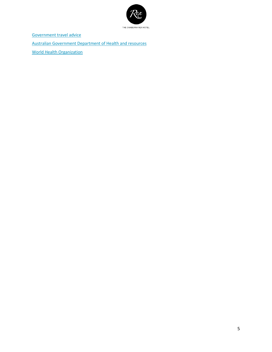

[Government travel advice](https://www.health.gov.au/news/health-alerts/novel-coronavirus-2019-ncov-health-alert/coronavirus-covid-19-advice-for-travellers)

[Australian Government Department of Health and resources](https://www.health.gov.au/news/health-alerts/novel-coronavirus-2019-ncov-health-alert)

[World Health Organization](https://www.who.int/emergencies/diseases/novel-coronavirus-2019)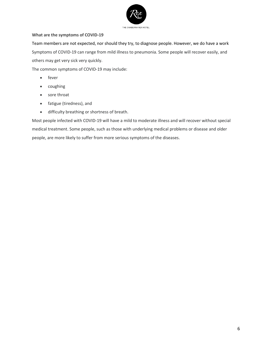

# <span id="page-6-0"></span>**What are the symptoms of COVID-19**

Team members are not expected, nor should they try, to diagnose people. However, we do have a work Symptoms of COVID-19 can range from mild illness to pneumonia. Some people will recover easily, and others may get very sick very quickly.

The common symptoms of COVID-19 may include:

- fever
- coughing
- sore throat
- fatigue (tiredness), and
- difficulty breathing or shortness of breath.

Most people infected with COVID-19 will have a mild to moderate illness and will recover without special medical treatment. Some people, such as those with underlying medical problems or disease and older people, are more likely to suffer from more serious symptoms of the diseases.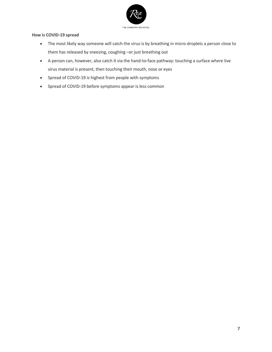

## <span id="page-7-0"></span>**How is COVID-19 spread**

- The most likely way someone will catch the virus is by breathing in micro-droplets a person close to them has released by sneezing, coughing –or just breathing out
- A person can, however, also catch it via the hand-to-face pathway: touching a surface where live virus material is present, then touching their mouth, nose or eyes
- Spread of COVID-19 is highest from people with symptoms
- Spread of COVID-19 before symptoms appear is less common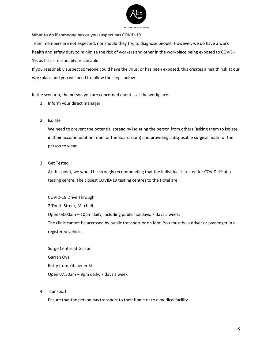

<span id="page-8-0"></span>**What to do if someone has or you suspect has COVID-19**

Team members are not expected, nor should they try, to diagnose people. However, we do have a work health and safety duty to minimize the risk of workers and other in the workplace being exposed to COVID-19, as far as reasonably practicable.

If you reasonably suspect someone could have the virus, or has been exposed, this creates a health risk at our workplace and you will need to follow the steps below.

In the scenario, the person you are concerned about is at the workplace:

- 1. Inform your direct manager
- 2. Isolate

We need to prevent the potential spread by isolating the person from others (asking them to isolate in their accommodation room or the Boardroom) and providing a disposable surgical mask for the person to wear.

3. Get Tested

At this point, we would be strongly recommending that the individual is tested for COVID-19 at a testing centre. The closest COVID-19 testing centres to the Hotel are:

COVID-19 Drive Through 2 Tooth Street, Mitchell Open 08:00am – 10pm daily, including public holidays, 7 days a week. The clinic cannot be accessed by public transport or on foot. You must be a driver or passenger in a registered vehicle.

Surge Centre at Garran Garran Oval Entry from Kitchener St Open 07:30am – 9pm daily, 7 days a week

4. Transport

Ensure that the person has transport to their home or to a medical facility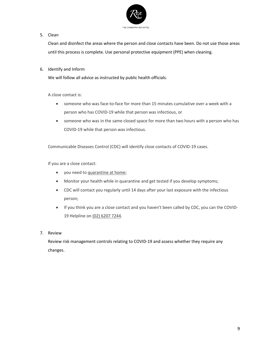

# 5. Clean

Clean and disinfect the areas where the person and close contacts have been. Do not use those areas until this process is complete. Use personal protective equipment (PPE) when cleaning.

# 6. Identify and Inform

We will follow all advice as instructed by public health officials.

A close contact is:

- someone who was face-to-face for more than 15 minutes cumulative over a week with a person who has COVID-19 while that person was infectious, or
- someone who was in the same closed space for more than two hours with a person who has COVID-19 while that person was infectious.

Communicable Diseases Control (CDC) will identify close contacts of COVID-19 cases.

If you are a close contact:

- you need to [quarantine at home;](https://www.covid19.act.gov.au/stay-safe-and-healthy/quarantine-and-isolation/quarantine-information-for-people-who-are-well)
- Monitor your health while in quarantine and get tested if you develop symptoms;
- CDC will contact you regularly until 14 days after your last exposure with the infectious person;
- If you think you are a close contact and you haven't been called by CDC, you can the COVID-19 Helpline on [\(02\) 6207 7244.](tel:0262077244)
- 7. Review

Review risk management controls relating to COVID-19 and assess whether they require any changes.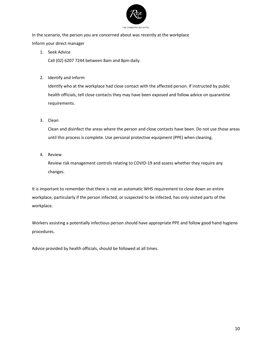

In the scenario, the person you are concerned about was recently at the workplace Inform your direct manager

1. Seek Advice

Call (02) 6207 7244 between 8am and 8pm daily.

2. Identify and Inform

Identify who at the workplace had close contact with the affected person. If instructed by public health officials, tell close contacts they may have been exposed and follow advice on quarantine requirements.

3. Clean

Clean and disinfect the areas where the person and close contacts have been. Do not use those areas until this process is complete. Use personal protective equipment (PPE) when cleaning.

4. Review

Review risk management controls relating to COVID-19 and assess whether they require any changes.

It is important to remember that there is not an automatic WHS requirement to close down an entire workplace, particularly if the person infected, or suspected to be infected, has only visited parts of the workplace.

Workers assisting a potentially infectious person should have appropriate PPE and follow good hand hygiene procedures.

Advice provided by health officials, should be followed at all times.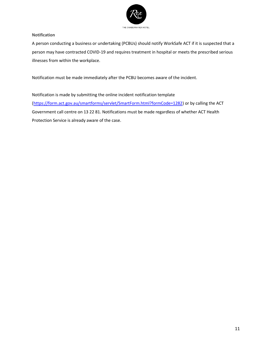

#### <span id="page-11-0"></span>**Notification**

A person conducting a business or undertaking (PCBUs) should notify WorkSafe ACT if it is suspected that a person may have contracted COVID-19 and requires treatment in hospital or meets the prescribed serious illnesses from within the workplace.

Notification must be made immediately after the PCBU becomes aware of the incident.

Notification is made by submitting the online incident notification template [\(https://form.act.gov.au/smartforms/servlet/SmartForm.html?formCode=1282\)](https://form.act.gov.au/smartforms/servlet/SmartForm.html?formCode=1282) or by calling the ACT Government call centre on 13 22 81. Notifications must be made regardless of whether ACT Health Protection Service is already aware of the case.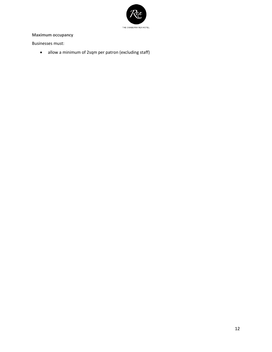

# <span id="page-12-0"></span>**Maximum occupancy**

Businesses must:

• allow a minimum of 2sqm per patron (excluding staff)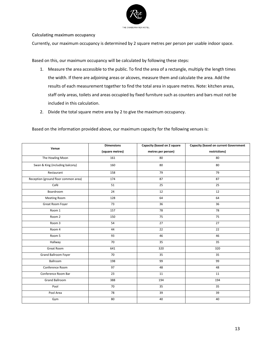

<span id="page-13-0"></span>**Calculating maximum occupancy** 

Currently, our maximum occupancy is determined by 2 square metres per person per usable indoor space.

Based on this, our maximum occupancy will be calculated by following these steps:

- 1. Measure the area accessible to the public. To find the area of a rectangle, multiply the length times the width. If there are adjoining areas or alcoves, measure them and calculate the area. Add the results of each measurement together to find the total area in square metres. Note: kitchen areas, staff only areas, toilets and areas occupied by fixed furniture such as counters and bars must not be included in this calculation.
- 2. Divide the total square metre area by 2 to give the maximum occupancy.

Based on the information provided above, our maximum capacity for the following venues is:

| Venue                                | <b>Dimensions</b> | Capacity (based on 2 square | <b>Capacity (based on current Government</b> |
|--------------------------------------|-------------------|-----------------------------|----------------------------------------------|
|                                      | (square metres)   | metres per person)          | restrictions)                                |
| The Howling Moon                     | 161               | 80                          | 80                                           |
| Swan & King (including balcony)      | 160               | 80                          | 80                                           |
| Restaurant                           | 158               | 79                          | 79                                           |
| Reception (ground floor common area) | 174               | 87                          | 87                                           |
| Café                                 | 51                | 25                          | 25                                           |
| Boardroom                            | 24                | 12                          | 12                                           |
| Meeting Room                         | 128               | 64                          | 64                                           |
| Great Room Foyer                     | 73                | 36                          | 36                                           |
| Room 1                               | 157               | 78                          | 78                                           |
| Room 2                               | 150               | 75                          | 75                                           |
| Room 3                               | 54                | 27                          | 27                                           |
| Room 4                               | 44                | 22                          | 22                                           |
| Room 5                               | 93                | 46                          | 46                                           |
| Hallway                              | 70                | 35                          | 35                                           |
| Great Room                           | 641               | 320                         | 320                                          |
| <b>Grand Ballroom Foyer</b>          | 70                | 35                          | 35                                           |
| Ballroom                             | 198               | 99                          | 99                                           |
| Conference Room                      | $\overline{97}$   | 48                          | 48                                           |
| Conference Room Bar                  | 23                | 11                          | 11                                           |
| <b>Grand Ballroom</b>                | 388               | 194                         | 194                                          |
| Pool                                 | 70                | 35                          | 35                                           |
| Pool Area                            | 78                | 39                          | 39                                           |
| Gym                                  | 80                | 40                          | 40                                           |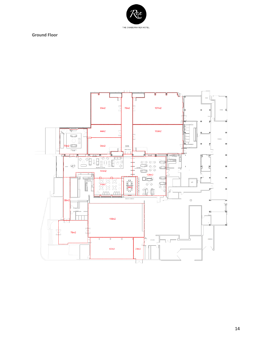

<span id="page-14-0"></span>**Ground Floor** 

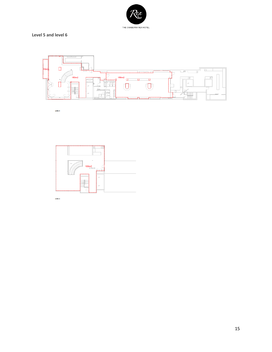

# <span id="page-15-0"></span>**Level 5 and level 6**



LEVEL 5



LEVEL 6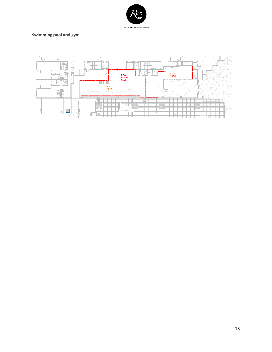

# <span id="page-16-0"></span>**Swimming pool and gym**

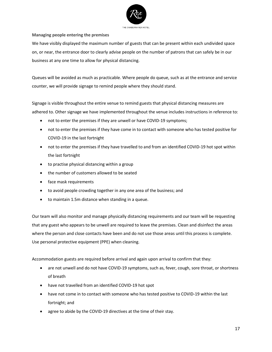

<span id="page-17-0"></span>**Managing people entering the premises**

We have visibly displayed the maximum number of guests that can be present within each undivided space on, or near, the entrance door to clearly advise people on the number of patrons that can safely be in our business at any one time to allow for physical distancing.

Queues will be avoided as much as practicable. Where people do queue, such as at the entrance and service counter, we will provide signage to remind people where they should stand.

Signage is visible throughout the entire venue to remind guests that physical distancing measures are adhered to. Other signage we have implemented throughout the venue includes instructions in reference to:

- not to enter the premises if they are unwell or have COVID-19 symptoms;
- not to enter the premises if they have come in to contact with someone who has tested positive for COVID-19 in the last fortnight
- not to enter the premises if they have travelled to and from an identified COVID-19 hot spot within the last fortnight
- to practise physical distancing within a group
- the number of customers allowed to be seated
- face mask requirements
- to avoid people crowding together in any one area of the business; and
- to maintain 1.5m distance when standing in a queue.

Our team will also monitor and manage physically distancing requirements and our team will be requesting that any guest who appears to be unwell are required to leave the premises. Clean and disinfect the areas where the person and close contacts have been and do not use those areas until this process is complete. Use personal protective equipment (PPE) when cleaning.

Accommodation guests are required before arrival and again upon arrival to confirm that they:

- are not unwell and do not have COVID-19 symptoms, such as, fever, cough, sore throat, or shortness of breath
- have not travelled from an identified COVID-19 hot spot
- have not come in to contact with someone who has tested positive to COVID-19 within the last fortnight; and
- agree to abide by the COVID-19 directives at the time of their stay.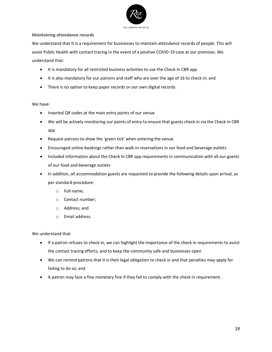

## <span id="page-18-0"></span>**Maintaining attendance records**

We understand that It is a requirement for businesses to maintain attendance records of people. This will assist Public Health with contact tracing in the event of a positive COVID-19 case at our premises. We understand that:

- It is mandatory for all restricted business activities to use the Check In CBR app
- It is also mandatory for our patrons and staff who are over the age of 16 to check in; and
- There is no option to keep paper records or our own digital records.

# We have:

- Inserted QR codes at the main entry points of our venue
- We will be actively monitoring our points of entry to ensure that guests check in via the Check In CBR app
- Request patrons to show the 'green tick' when entering the venue
- Encouraged online bookings rather than walk-in reservations in our food and beverage outlets
- Included information about the Check In CBR app requirements in communication with all our guests of our food and beverage outlets
- In addition, all accommodation guests are requested to provide the following details upon arrival, as per standard procedure:
	- o Full name;
	- o Contact number;
	- o Address; and
	- o Email address.

We understand that:

- If a patron refuses to check in, we can highlight the importance of the check in requirements to assist the contact tracing efforts, and to keep the community safe and businesses open
- We can remind patrons that it is their legal obligation to check in and that penalties may apply for failing to do so; and
- A patron may face a fine monetary fine if they fail to comply with the check in requirement.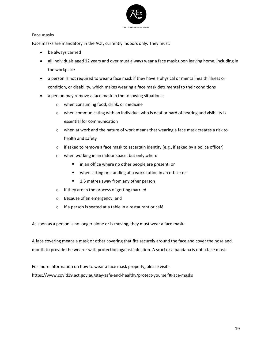

#### <span id="page-19-0"></span>**Face masks**

Face masks are mandatory in the ACT, currently indoors only. They must:

- be always carried
- all individuals aged 12 years and over must always wear a face mask upon leaving home, including in the workplace
- a person is not required to wear a face mask if they have a physical or mental health illness or condition, or disability, which makes wearing a face mask detrimental to their conditions
- a person may remove a face mask in the following situations:
	- o when consuming food, drink, or medicine
	- $\circ$  when communicating with an individual who is deaf or hard of hearing and visibility is essential for communication
	- $\circ$  when at work and the nature of work means that wearing a face mask creates a risk to health and safety
	- $\circ$  if asked to remove a face mask to ascertain identity (e.g., if asked by a police officer)
	- o when working in an indoor space, but only when:
		- in an office where no other people are present; or
		- when sitting or standing at a workstation in an office; or
		- 1.5 metres away from any other person
	- o If they are in the process of getting married
	- o Because of an emergency; and
	- o If a person is seated at a table in a restaurant or café

As soon as a person is no longer alone or is moving, they must wear a face mask.

A face covering means a mask or other covering that fits securely around the face and cover the nose and mouth to provide the wearer with protection against infection. A scarf or a bandana is not a face mask.

For more information on how to wear a face mask properly, please visit https://www.covid19.act.gov.au/stay-safe-and-healthy/protect-yourself#Face-masks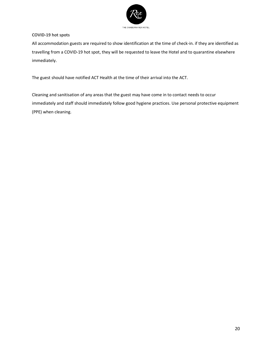

# <span id="page-20-0"></span>**COVID-19 hot spots**

All accommodation guests are required to show identification at the time of check-in. if they are identified as travelling from a COVID-19 hot spot, they will be requested to leave the Hotel and to quarantine elsewhere immediately.

The guest should have notified ACT Health at the time of their arrival into the ACT.

Cleaning and sanitisation of any areas that the guest may have come in to contact needs to occur immediately and staff should immediately follow good hygiene practices. Use personal protective equipment (PPE) when cleaning.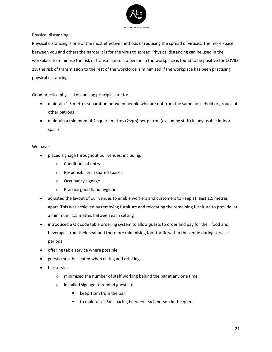

<span id="page-21-0"></span>**Physical distancing**

Physical distancing is one of the most effective methods of reducing the spread of viruses. The more space between you and others the harder it is for the virus to spread. Physical distancing can be used in the workplace to minimise the risk of transmission. If a person in the workplace is found to be positive for COVID-19, the risk of transmission to the rest of the workforce is minimised if the workplace has been practising physical distancing.

Good practice physical distancing principles are to:

- maintain 1.5 metres separation between people who are not from the same household or groups of other patrons
- maintain a minimum of 2 square metres (2sqm) per patron (excluding staff) in any usable indoor space

# We have:

- placed signage throughout our venues, including:
	- o Conditions of entry
	- o Responsibility in shared spaces
	- o Occupancy signage
	- o Practice good hand hygiene
- adjusted the layout of our venues to enable workers and customers to keep at least 1.5 metres apart. This was achieved by removing furniture and relocating the remaining furniture to provide, at a minimum, 1.5 metres between each setting
- introduced a QR code table ordering system to allow guests to order and pay for their food and beverages from their seat and therefore minimising foot traffic within the venue during service periods
- offering table service where possible
- guests must be seated when eating and drinking
- bar service
	- o minimised the number of staff working behind the bar at any one time
	- o installed signage to remind guests to:
		- keep 1.5m from the bar
		- to maintain 1.5m spacing between each person in the queue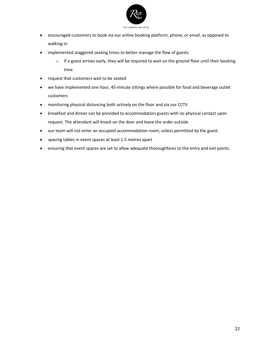

- encouraged customers to book via our online booking platform, phone, or email, as opposed to walking-in
- implemented staggered seating times to better manage the flow of guests
	- $\circ$  If a guest arrives early, they will be required to wait on the ground floor until their booking time
- request that customers wait to be seated
- we have implemented one hour, 45-minute sittings where possible for food and beverage outlet customers
- monitoring physical distancing both actively on the floor and via our CCTV
- breakfast and dinner can be provided to accommodation guests with no physical contact upon request. The attendant will knock on the door and leave the order outside
- our team will not enter an occupied accommodation room, unless permitted by the guest.
- spacing tables in event spaces at least 1.5 metres apart
- ensuring that event spaces are set to allow adequate thoroughfares to the entry and exit points.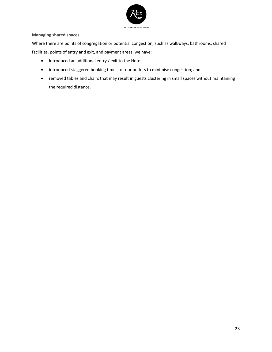

# <span id="page-23-0"></span>**Managing shared spaces**

Where there are points of congregation or potential congestion, such as walkways, bathrooms, shared facilities, points of entry and exit, and payment areas, we have:

- introduced an additional entry / exit to the Hotel
- introduced staggered booking times for our outlets to minimise congestion; and
- removed tables and chairs that may result in guests clustering in small spaces without maintaining the required distance.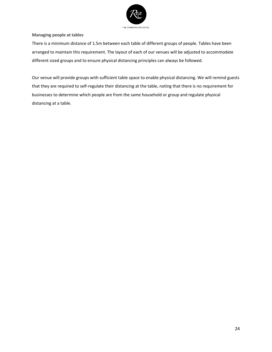

#### <span id="page-24-0"></span>**Managing people at tables**

There is a minimum distance of 1.5m between each table of different groups of people. Tables have been arranged to maintain this requirement. The layout of each of our venues will be adjusted to accommodate different sized groups and to ensure physical distancing principles can always be followed.

Our venue will provide groups with sufficient table space to enable physical distancing. We will remind guests that they are required to self-regulate their distancing at the table, noting that there is no requirement for businesses to determine which people are from the same household or group and regulate physical distancing at a table.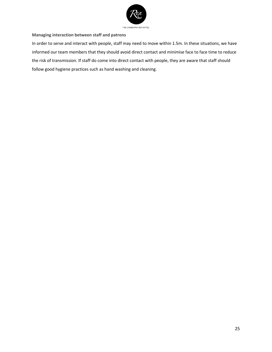

<span id="page-25-0"></span>**Managing interaction between staff and patrons**

In order to serve and interact with people, staff may need to move within 1.5m. In these situations, we have informed our team members that they should avoid direct contact and minimise face to face time to reduce the risk of transmission. If staff do come into direct contact with people, they are aware that staff should follow good hygiene practices such as hand washing and cleaning.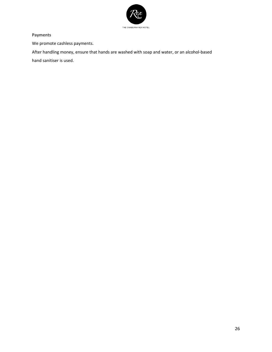

<span id="page-26-0"></span>**Payments**

We promote cashless payments.

After handling money, ensure that hands are washed with soap and water, or an alcohol-based hand sanitiser is used.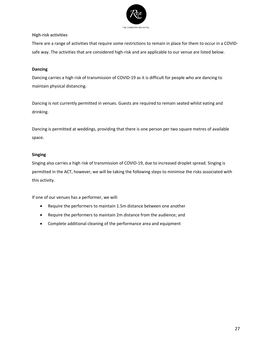

#### <span id="page-27-0"></span>**High-risk activities**

There are a range of activities that require some restrictions to remain in place for them to occur in a COVIDsafe way. The activities that are considered high-risk and are applicable to our venue are listed below.

# **Dancing**

Dancing carries a high risk of transmission of COVID-19 as it is difficult for people who are dancing to maintain physical distancing.

Dancing is not currently permitted in venues. Guests are required to remain seated whilst eating and drinking.

Dancing is permitted at weddings, providing that there is one person per two square metres of available space.

# **Singing**

Singing also carries a high risk of transmission of COVID-19, due to increased droplet spread. Singing is permitted in the ACT, however, we will be taking the following steps to minimise the risks associated with this activity.

If one of our venues has a performer, we will:

- Require the performers to maintain 1.5m distance between one another
- Require the performers to maintain 2m distance from the audience; and
- Complete additional cleaning of the performance area and equipment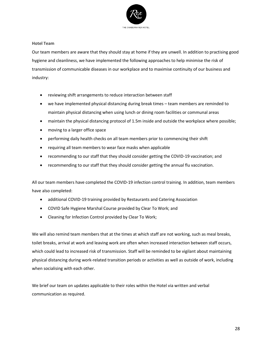

#### <span id="page-28-0"></span>**Hotel Team**

Our team members are aware that they should stay at home if they are unwell. In addition to practising good hygiene and cleanliness, we have implemented the following approaches to help minimise the risk of transmission of communicable diseases in our workplace and to maximise continuity of our business and industry:

- reviewing shift arrangements to reduce interaction between staff
- we have implemented physical distancing during break times team members are reminded to maintain physical distancing when using lunch or dining room facilities or communal areas
- maintain the physical distancing protocol of 1.5m inside and outside the workplace where possible;
- moving to a larger office space
- performing daily health checks on all team members prior to commencing their shift
- requiring all team members to wear face masks when applicable
- recommending to our staff that they should consider getting the COVID-19 vaccination; and
- recommending to our staff that they should consider getting the annual flu vaccination.

All our team members have completed the COVID-19 infection control training. In addition, team members have also completed:

- additional COVID-19 training provided by Restaurants and Catering Association
- COVID Safe Hygiene Marshal Course provided by Clear To Work; and
- Cleaning for Infection Control provided by Clear To Work;

We will also remind team members that at the times at which staff are not working, such as meal breaks, toilet breaks, arrival at work and leaving work are often when increased interaction between staff occurs, which could lead to increased risk of transmission. Staff will be reminded to be vigilant about maintaining physical distancing during work-related transition periods or activities as well as outside of work, including when socialising with each other.

We brief our team on updates applicable to their roles within the Hotel via written and verbal communication as required.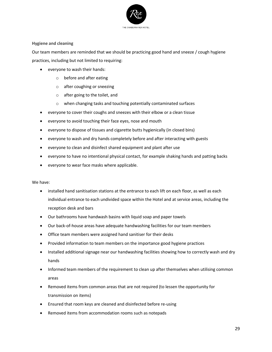

# <span id="page-29-0"></span>**Hygiene and cleaning**

Our team members are reminded that we should be practicing good hand and sneeze / cough hygiene practices, including but not limited to requiring:

- everyone to wash their hands:
	- o before and after eating
	- o after coughing or sneezing
	- o after going to the toilet, and
	- o when changing tasks and touching potentially contaminated surfaces
- everyone to cover their coughs and sneezes with their elbow or a clean tissue
- everyone to avoid touching their face eyes, nose and mouth
- everyone to dispose of tissues and cigarette butts hygienically (in closed bins)
- everyone to wash and dry hands completely before and after interacting with guests
- everyone to clean and disinfect shared equipment and plant after use
- everyone to have no intentional physical contact, for example shaking hands and patting backs
- everyone to wear face masks where applicable.

We have:

- installed hand sanitisation stations at the entrance to each lift on each floor, as well as each individual entrance to each undivided space within the Hotel and at service areas, including the reception desk and bars
- Our bathrooms have handwash basins with liquid soap and paper towels
- Our back-of-house areas have adequate handwashing facilities for our team members
- Office team members were assigned hand sanitiser for their desks
- Provided information to team members on the importance good hygiene practices
- Installed additional signage near our handwashing facilities showing how to correctly wash and dry hands
- Informed team members of the requirement to clean up after themselves when utilising common areas
- Removed items from common areas that are not required (to lessen the opportunity for transmission on items)
- Ensured that room keys are cleaned and disinfected before re-using
- Removed items from accommodation rooms such as notepads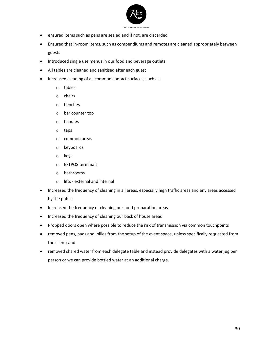

- ensured items such as pens are sealed and if not, are discarded
- Ensured that in-room items, such as compendiums and remotes are cleaned appropriately between guests
- Introduced single use menus in our food and beverage outlets
- All tables are cleaned and sanitised after each guest
- Increased cleaning of all common contact surfaces, such as:
	- o tables
	- o chairs
	- o benches
	- o bar counter top
	- o handles
	- o taps
	- o common areas
	- o keyboards
	- o keys
	- o EFTPOS terminals
	- o bathrooms
	- o lifts external and internal
- Increased the frequency of cleaning in all areas, especially high traffic areas and any areas accessed by the public
- Increased the frequency of cleaning our food preparation areas
- Increased the frequency of cleaning our back of house areas
- Propped doors open where possible to reduce the risk of transmission via common touchpoints
- removed pens, pads and lollies from the setup of the event space, unless specifically requested from the client; and
- removed shared water from each delegate table and instead provide delegates with a water jug per person or we can provide bottled water at an additional charge.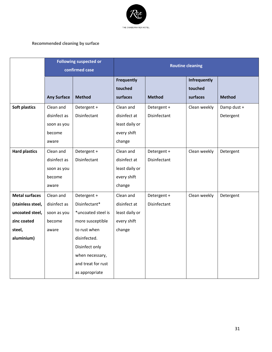

# <span id="page-31-0"></span>**Recommended cleaning by surface**

|                       | <b>Following suspected or</b><br>confirmed case |                    | <b>Routine cleaning</b> |               |                     |               |
|-----------------------|-------------------------------------------------|--------------------|-------------------------|---------------|---------------------|---------------|
|                       |                                                 |                    | <b>Frequently</b>       |               | Infrequently        |               |
|                       | <b>Any Surface</b>                              | <b>Method</b>      | touched<br>surfaces     | <b>Method</b> | touched<br>surfaces | <b>Method</b> |
| Soft plastics         | Clean and                                       | Detergent +        | Clean and               | Detergent +   | Clean weekly        | Damp dust +   |
|                       | disinfect as                                    | Disinfectant       | disinfect at            | Disinfectant  |                     | Detergent     |
|                       | soon as you                                     |                    | least daily or          |               |                     |               |
|                       | become                                          |                    | every shift             |               |                     |               |
|                       | aware                                           |                    | change                  |               |                     |               |
|                       |                                                 |                    |                         |               |                     |               |
| <b>Hard plastics</b>  | Clean and                                       | Detergent +        | Clean and               | Detergent +   | Clean weekly        | Detergent     |
|                       | disinfect as                                    | Disinfectant       | disinfect at            | Disinfectant  |                     |               |
|                       | soon as you                                     |                    | least daily or          |               |                     |               |
|                       | become                                          |                    | every shift             |               |                     |               |
|                       | aware                                           |                    | change                  |               |                     |               |
| <b>Metal surfaces</b> | Clean and                                       | Detergent +        | Clean and               | Detergent +   | Clean weekly        | Detergent     |
| (stainless steel,     | disinfect as                                    | Disinfectant*      | disinfect at            | Disinfectant  |                     |               |
| uncoated steel,       | soon as you                                     | *uncoated steel is | least daily or          |               |                     |               |
| zinc coated           | become                                          | more susceptible   | every shift             |               |                     |               |
| steel,                | aware                                           | to rust when       | change                  |               |                     |               |
| aluminium)            |                                                 | disinfected.       |                         |               |                     |               |
|                       |                                                 | Disinfect only     |                         |               |                     |               |
|                       |                                                 | when necessary,    |                         |               |                     |               |
|                       |                                                 | and treat for rust |                         |               |                     |               |
|                       |                                                 | as appropriate     |                         |               |                     |               |
|                       |                                                 |                    |                         |               |                     |               |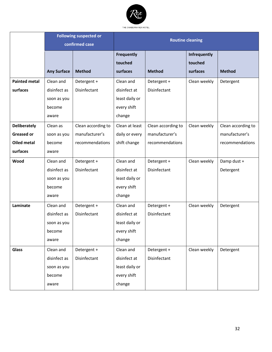

|                      |                    | <b>Following suspected or</b> | <b>Routine cleaning</b> |                    |                     |                    |
|----------------------|--------------------|-------------------------------|-------------------------|--------------------|---------------------|--------------------|
|                      | confirmed case     |                               |                         |                    |                     |                    |
|                      |                    |                               | <b>Frequently</b>       |                    | <b>Infrequently</b> |                    |
|                      |                    |                               | touched                 |                    | touched             |                    |
|                      | <b>Any Surface</b> | <b>Method</b>                 | surfaces                | <b>Method</b>      | surfaces            | <b>Method</b>      |
| <b>Painted metal</b> | Clean and          | Detergent +                   | Clean and               | Detergent +        | Clean weekly        | Detergent          |
| surfaces             | disinfect as       | Disinfectant                  | disinfect at            | Disinfectant       |                     |                    |
|                      | soon as you        |                               | least daily or          |                    |                     |                    |
|                      | become             |                               | every shift             |                    |                     |                    |
|                      | aware              |                               | change                  |                    |                     |                    |
| <b>Deliberately</b>  | Clean as           | Clean according to            | Clean at least          | Clean according to | Clean weekly        | Clean according to |
| <b>Greased or</b>    | soon as you        | manufacturer's                | daily or every          | manufacturer's     |                     | manufacturer's     |
| <b>Oiled metal</b>   | become             | recommendations               | shift change            | recommendations    |                     | recommendations    |
| surfaces             | aware              |                               |                         |                    |                     |                    |
| Wood                 | Clean and          | Detergent +                   | Clean and               | Detergent +        | Clean weekly        | Damp dust +        |
|                      | disinfect as       | Disinfectant                  | disinfect at            | Disinfectant       |                     | Detergent          |
|                      | soon as you        |                               | least daily or          |                    |                     |                    |
|                      | become             |                               | every shift             |                    |                     |                    |
|                      | aware              |                               | change                  |                    |                     |                    |
| Laminate             | Clean and          | Detergent +                   | Clean and               | Detergent +        | Clean weekly        | Detergent          |
|                      | disinfect as       | Disinfectant                  | disinfect at            | Disinfectant       |                     |                    |
|                      | soon as you        |                               | least daily or          |                    |                     |                    |
|                      | become             |                               | every shift             |                    |                     |                    |
|                      | aware              |                               | change                  |                    |                     |                    |
| <b>Glass</b>         | Clean and          | Detergent +                   | Clean and               | Detergent +        | Clean weekly        | Detergent          |
|                      | disinfect as       | Disinfectant                  | disinfect at            | Disinfectant       |                     |                    |
|                      | soon as you        |                               | least daily or          |                    |                     |                    |
|                      | become             |                               | every shift             |                    |                     |                    |
|                      | aware              |                               | change                  |                    |                     |                    |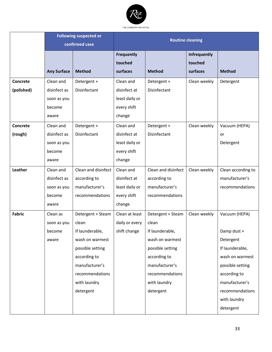

|                 | <b>Following suspected or</b><br>confirmed case |                     | <b>Routine cleaning</b> |                     |                     |                    |
|-----------------|-------------------------------------------------|---------------------|-------------------------|---------------------|---------------------|--------------------|
|                 |                                                 |                     |                         |                     |                     |                    |
|                 |                                                 |                     | <b>Frequently</b>       |                     | <b>Infrequently</b> |                    |
|                 |                                                 |                     | touched                 |                     | touched             |                    |
|                 | <b>Any Surface</b>                              | <b>Method</b>       | surfaces                | <b>Method</b>       | surfaces            | <b>Method</b>      |
| <b>Concrete</b> | Clean and                                       | Detergent +         | Clean and               | Detergent +         | Clean weekly        | Detergent          |
| (polished)      | disinfect as                                    | Disinfectant        | disinfect at            | Disinfectant        |                     |                    |
|                 | soon as you                                     |                     | least daily or          |                     |                     |                    |
|                 | become                                          |                     | every shift             |                     |                     |                    |
|                 | aware                                           |                     | change                  |                     |                     |                    |
| Concrete        | Clean and                                       | Detergent +         | Clean and               | Detergent +         | Clean weekly        | Vacuum (HEPA)      |
| (rough)         | disinfect as                                    | Disinfectant        | disinfect at            | Disinfectant        |                     | or                 |
|                 | soon as you                                     |                     | least daily or          |                     |                     | Detergent          |
|                 | become                                          |                     | every shift             |                     |                     |                    |
|                 | aware                                           |                     | change                  |                     |                     |                    |
| Leather         | Clean and                                       | Clean and disinfect | Clean and               | Clean and disinfect | Clean weekly        | Clean according to |
|                 | disinfect as                                    | according to        | disinfect at            | according to        |                     | manufacturer's     |
|                 | soon as you                                     | manufacturer's      | least daily or          | manufacturer's      |                     | recommendations    |
|                 | become                                          | recommendations     | every shift             | recommendations     |                     |                    |
|                 | aware                                           |                     | change                  |                     |                     |                    |
| <b>Fabric</b>   | Clean as                                        | Detergent + Steam   | Clean at least          | Detergent + Steam   | Clean weekly        | Vacuum (HEPA)      |
|                 | soon as you                                     | clean               | daily or every          | clean               |                     |                    |
|                 | become                                          | If launderable,     | shift change            | If launderable,     |                     | Damp dust +        |
|                 | aware                                           | wash on warmest     |                         | wash on warmest     |                     | Detergent          |
|                 |                                                 | possible setting    |                         | possible setting    |                     | If launderable,    |
|                 |                                                 | according to        |                         | according to        |                     | wash on warmest    |
|                 |                                                 | manufacturer's      |                         | manufacturer's      |                     | possible setting   |
|                 |                                                 | recommendations     |                         | recommendations     |                     | according to       |
|                 |                                                 | with laundry        |                         | with laundry        |                     | manufacturer's     |
|                 |                                                 | detergent           |                         | detergent           |                     | recommendations    |
|                 |                                                 |                     |                         |                     |                     | with laundry       |
|                 |                                                 |                     |                         |                     |                     | detergent          |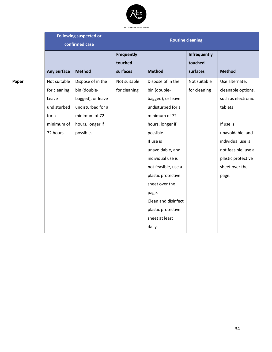

|       | <b>Following suspected or</b><br>confirmed case |                   | <b>Routine cleaning</b> |                     |              |                     |
|-------|-------------------------------------------------|-------------------|-------------------------|---------------------|--------------|---------------------|
|       |                                                 |                   | <b>Frequently</b>       |                     | Infrequently |                     |
|       |                                                 |                   | touched                 |                     | touched      |                     |
|       | <b>Any Surface</b>                              | <b>Method</b>     | surfaces                | <b>Method</b>       | surfaces     | <b>Method</b>       |
| Paper | Not suitable                                    | Dispose of in the | Not suitable            | Dispose of in the   | Not suitable | Use alternate,      |
|       | for cleaning.                                   | bin (double-      | for cleaning            | bin (double-        | for cleaning | cleanable options,  |
|       | Leave                                           | bagged), or leave |                         | bagged), or leave   |              | such as electronic  |
|       | undisturbed                                     | undisturbed for a |                         | undisturbed for a   |              | tablets             |
|       | for a                                           | minimum of 72     |                         | minimum of 72       |              |                     |
|       | minimum of                                      | hours, longer if  |                         | hours, longer if    |              | If use is           |
|       | 72 hours.                                       | possible.         |                         | possible.           |              | unavoidable, and    |
|       |                                                 |                   |                         | If use is           |              | individual use is   |
|       |                                                 |                   |                         | unavoidable, and    |              | not feasible, use a |
|       |                                                 |                   |                         | individual use is   |              | plastic protective  |
|       |                                                 |                   |                         | not feasible, use a |              | sheet over the      |
|       |                                                 |                   |                         | plastic protective  |              | page.               |
|       |                                                 |                   |                         | sheet over the      |              |                     |
|       |                                                 |                   |                         | page.               |              |                     |
|       |                                                 |                   |                         | Clean and disinfect |              |                     |
|       |                                                 |                   |                         | plastic protective  |              |                     |
|       |                                                 |                   |                         | sheet at least      |              |                     |
|       |                                                 |                   |                         | daily.              |              |                     |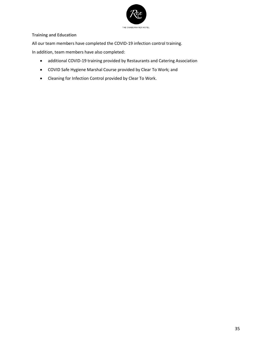

<span id="page-35-0"></span>**Training and Education**

All our team members have completed the COVID-19 infection control training.

In addition, team members have also completed:

- additional COVID-19 training provided by Restaurants and Catering Association
- COVID Safe Hygiene Marshal Course provided by Clear To Work; and
- Cleaning for Infection Control provided by Clear To Work.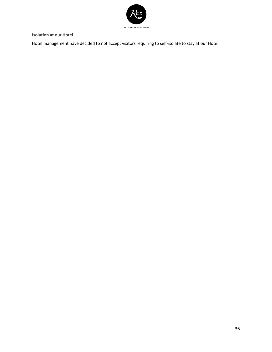

<span id="page-36-0"></span>**Isolation at our Hotel** 

Hotel management have decided to not accept visitors requiring to self-isolate to stay at our Hotel.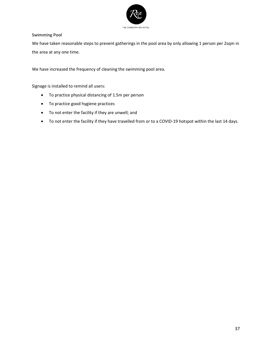

## <span id="page-37-0"></span>**Swimming Pool**

We have taken reasonable steps to prevent gatherings in the pool area by only allowing 1 person per 2sqm in the area at any one time.

We have increased the frequency of cleaning the swimming pool area.

Signage is installed to remind all users:

- To practice physical distancing of 1.5m per person
- To practice good hygiene practices
- To not enter the facility if they are unwell; and
- To not enter the facility if they have travelled from or to a COVID-19 hotspot within the last 14 days.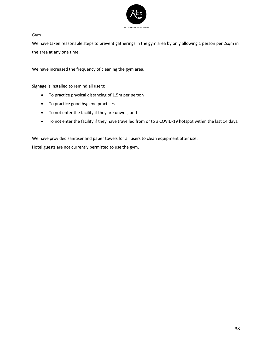

#### <span id="page-38-0"></span>**Gym**

We have taken reasonable steps to prevent gatherings in the gym area by only allowing 1 person per 2sqm in the area at any one time.

We have increased the frequency of cleaning the gym area.

Signage is installed to remind all users:

- To practice physical distancing of 1.5m per person
- To practice good hygiene practices
- To not enter the facility if they are unwell; and
- To not enter the facility if they have travelled from or to a COVID-19 hotspot within the last 14 days.

We have provided sanitiser and paper towels for all users to clean equipment after use. Hotel guests are not currently permitted to use the gym.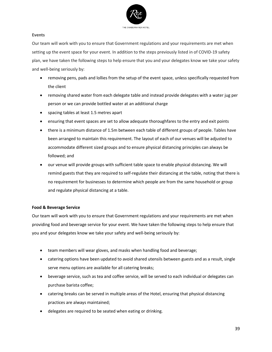

#### <span id="page-39-0"></span>**Events**

Our team will work with you to ensure that Government regulations and your requirements are met when setting up the event space for your event. In addition to the steps previously listed in of COVID-19 safety plan, we have taken the following steps to help ensure that you and your delegates know we take your safety and well-being seriously by:

- removing pens, pads and lollies from the setup of the event space, unless specifically requested from the client
- removing shared water from each delegate table and instead provide delegates with a water jug per person or we can provide bottled water at an additional charge
- spacing tables at least 1.5 metres apart
- ensuring that event spaces are set to allow adequate thoroughfares to the entry and exit points
- there is a minimum distance of 1.5m between each table of different groups of people. Tables have been arranged to maintain this requirement. The layout of each of our venues will be adjusted to accommodate different sized groups and to ensure physical distancing principles can always be followed; and
- our venue will provide groups with sufficient table space to enable physical distancing. We will remind guests that they are required to self-regulate their distancing at the table, noting that there is no requirement for businesses to determine which people are from the same household or group and regulate physical distancing at a table.

#### **Food & Beverage Service**

Our team will work with you to ensure that Government regulations and your requirements are met when providing food and beverage service for your event. We have taken the following steps to help ensure that you and your delegates know we take your safety and well-being seriously by:

- team members will wear gloves, and masks when handling food and beverage;
- catering options have been updated to avoid shared utensils between guests and as a result, single serve menu options are available for all catering breaks;
- beverage service, such as tea and coffee service, will be served to each individual or delegates can purchase barista coffee;
- catering breaks can be served in multiple areas of the Hotel, ensuring that physical distancing practices are always maintained;
- delegates are required to be seated when eating or drinking.